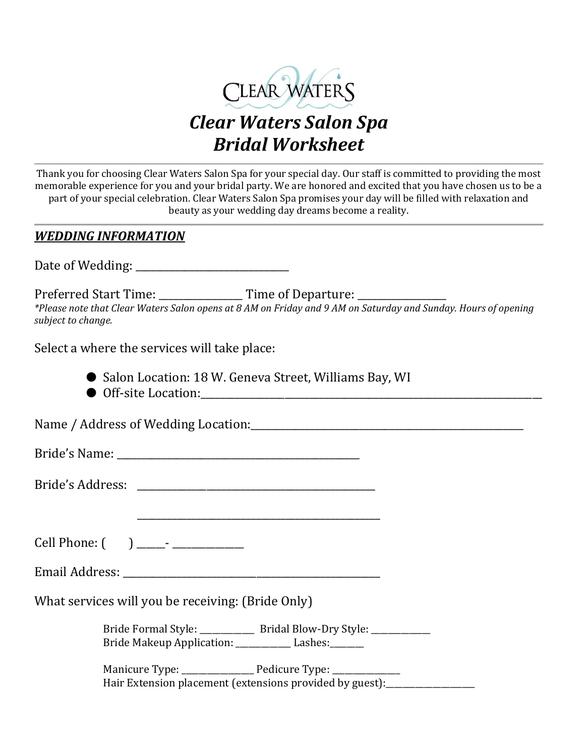

## Clear Waters Salon Spa Bridal Worksheet

Thank you for choosing Clear Waters Salon Spa for your special day. Our staff is committed to providing the most memorable experience for you and your bridal party. We are honored and excited that you have chosen us to be a part of your special celebration. Clear Waters Salon Spa promises your day will be filled with relaxation and beauty as your wedding day dreams become a reality.

### WEDDING INFORMATION

Date of Wedding:

Preferred Start Time: Time of Departure: \*Please note that Clear Waters Salon opens at 8 AM on Friday and 9 AM on Saturday and Sunday. Hours of opening subject to change.

Select a where the services will take place:

- Salon Location: 18 W. Geneva Street, Williams Bay, WI
- Off-site Location:

\_\_\_\_\_\_\_\_\_\_\_\_\_\_\_\_\_\_\_\_\_\_\_\_\_\_\_\_\_\_\_\_\_\_\_\_\_\_\_\_\_\_\_\_\_\_\_\_\_

Name / Address of Wedding Location:\_\_\_\_\_\_\_\_\_\_\_\_\_\_\_\_\_\_\_\_\_\_\_\_\_\_\_\_\_\_\_\_\_\_\_\_\_\_\_\_\_\_\_\_\_\_\_\_\_\_\_\_\_\_\_

Bride's Name:

Bride's Address: \_\_\_\_\_\_\_\_\_\_\_\_\_\_\_\_\_\_\_\_\_\_\_\_\_\_\_\_\_\_\_\_\_\_\_\_\_\_\_\_\_\_\_\_\_\_\_\_

Cell Phone: ( ) \_\_\_\_\_\_- \_\_\_\_\_\_\_\_\_\_\_\_\_\_\_

Email Address: \_\_\_\_\_\_\_\_\_\_\_\_\_\_\_\_\_\_\_\_\_\_\_\_\_\_\_\_\_\_\_\_\_\_\_\_\_\_\_\_\_\_\_\_\_\_\_\_\_\_\_\_

What services will you be receiving: (Bride Only)

Bride Formal Style: \_\_\_\_\_\_\_\_\_\_\_\_\_ Bridal Blow-Dry Style: \_\_\_\_\_\_\_\_\_\_\_\_\_\_\_\_\_\_\_\_\_\_\_ Bride Makeup Application: \_\_\_\_\_\_\_\_\_\_\_\_\_ Lashes: \_\_\_\_\_\_\_\_

Manicure Type: \_\_\_\_\_\_\_\_\_\_\_\_\_\_\_\_\_\_ Pedicure Type: \_\_\_\_\_\_\_\_\_\_\_\_\_\_ Hair Extension placement (extensions provided by guest):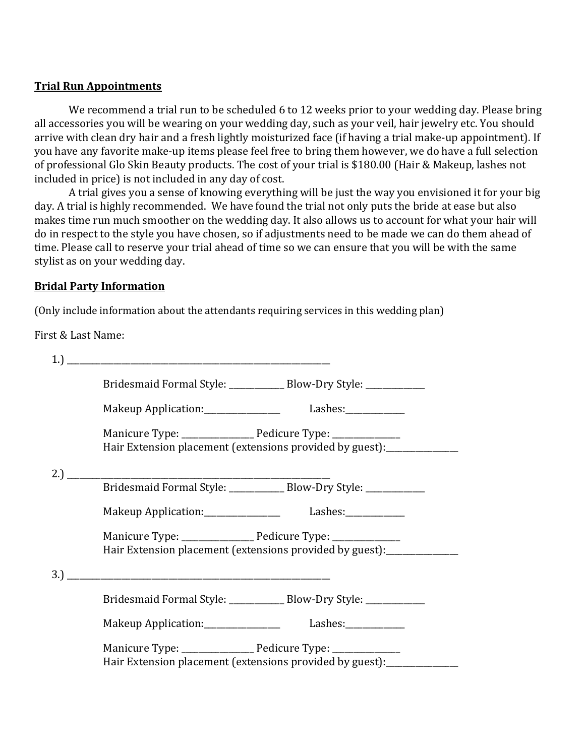#### Trial Run Appointments

We recommend a trial run to be scheduled 6 to 12 weeks prior to your wedding day. Please bring all accessories you will be wearing on your wedding day, such as your veil, hair jewelry etc. You should arrive with clean dry hair and a fresh lightly moisturized face (if having a trial make-up appointment). If you have any favorite make-up items please feel free to bring them however, we do have a full selection of professional Glo Skin Beauty products. The cost of your trial is \$180.00 (Hair & Makeup, lashes not included in price) is not included in any day of cost.

A trial gives you a sense of knowing everything will be just the way you envisioned it for your big day. A trial is highly recommended. We have found the trial not only puts the bride at ease but also makes time run much smoother on the wedding day. It also allows us to account for what your hair will do in respect to the style you have chosen, so if adjustments need to be made we can do them ahead of time. Please call to reserve your trial ahead of time so we can ensure that you will be with the same stylist as on your wedding day.

#### Bridal Party Information

(Only include information about the attendants requiring services in this wedding plan)

First & Last Name:

| Bridesmaid Formal Style: ______________ Blow-Dry Style: _____________    |  |
|--------------------------------------------------------------------------|--|
|                                                                          |  |
| Hair Extension placement (extensions provided by guest): _______________ |  |
|                                                                          |  |
| Bridesmaid Formal Style: _____________ Blow-Dry Style: ___________       |  |
| Makeup Application: ___________________ Lashes: ____________             |  |
| Hair Extension placement (extensions provided by guest): _______________ |  |
|                                                                          |  |
| Bridesmaid Formal Style: _____________ Blow-Dry Style: ____________      |  |
| Makeup Application: ____________________ Lashes: ____________            |  |
| Hair Extension placement (extensions provided by guest): _____________   |  |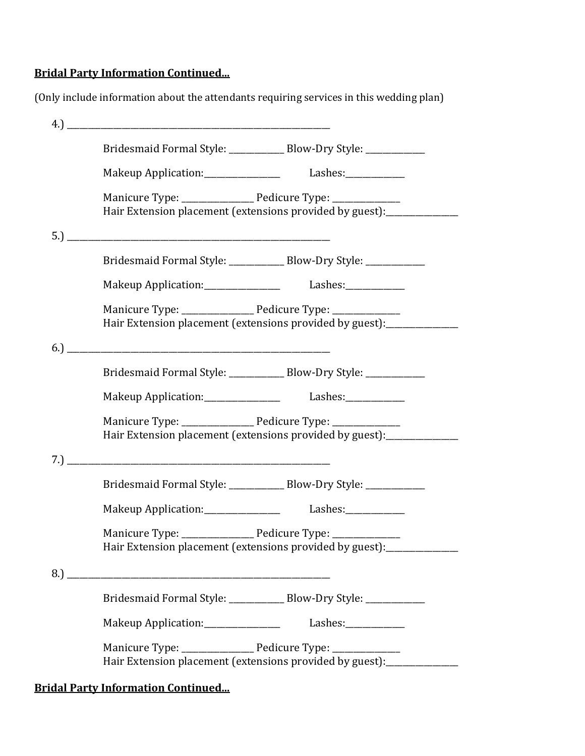#### Bridal Party Information Continued...

(Only include information about the attendants requiring services in this wedding plan)

| Bridesmaid Formal Style: ______________ Blow-Dry Style: ____________     |  |  |  |
|--------------------------------------------------------------------------|--|--|--|
| Makeup Application: ___________________ Lashes: ____________             |  |  |  |
|                                                                          |  |  |  |
| Hair Extension placement (extensions provided by guest): ________        |  |  |  |
|                                                                          |  |  |  |
| Bridesmaid Formal Style: _____________ Blow-Dry Style: ___________       |  |  |  |
| Makeup Application: __________________ Lashes: ___________               |  |  |  |
| Manicure Type: Pedicure Type: __________                                 |  |  |  |
| Hair Extension placement (extensions provided by guest): ________        |  |  |  |
|                                                                          |  |  |  |
| Bridesmaid Formal Style: _____________ Blow-Dry Style: ___________       |  |  |  |
| Makeup Application: _____________________ Lashes: ____________           |  |  |  |
| Manicure Type: Pedicure Type: ___________                                |  |  |  |
| Hair Extension placement (extensions provided by guest): _________       |  |  |  |
|                                                                          |  |  |  |
| Bridesmaid Formal Style: _____________ Blow-Dry Style: ___________       |  |  |  |
| Makeup Application: ___________________ Lashes: ____________             |  |  |  |
|                                                                          |  |  |  |
| Hair Extension placement (extensions provided by guest): _______________ |  |  |  |
|                                                                          |  |  |  |
| Bridesmaid Formal Style: ______________ Blow-Dry Style: ____________     |  |  |  |
| Makeup Application: _________________ Lashes: ___________                |  |  |  |
| Manicure Type: Pedicure Type: ___________                                |  |  |  |
| Hair Extension placement (extensions provided by guest): _______________ |  |  |  |

Bridal Party Information Continued...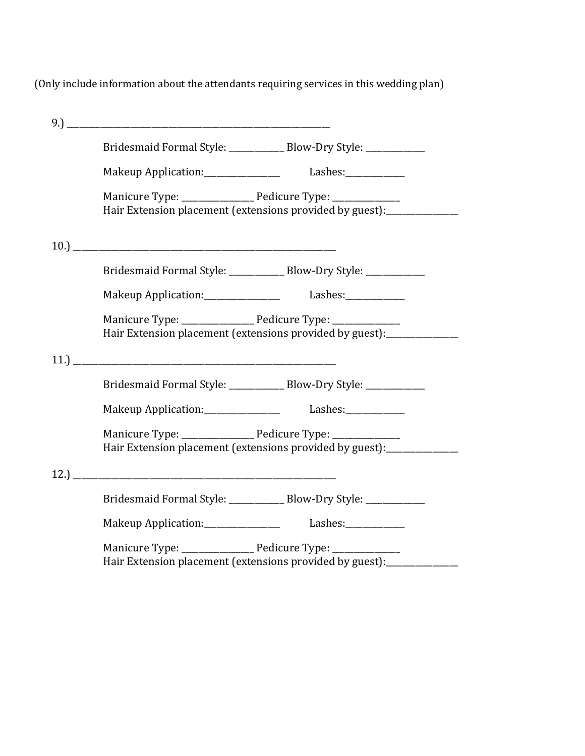(Only include information about the attendants requiring services in this wedding plan)

|                                                              | Bridesmaid Formal Style: _____________ Blow-Dry Style: ___________      |
|--------------------------------------------------------------|-------------------------------------------------------------------------|
| Makeup Application: _________________ Lashes: ____________   |                                                                         |
|                                                              | Hair Extension placement (extensions provided by guest): _____________  |
|                                                              |                                                                         |
|                                                              | Bridesmaid Formal Style: _____________ Blow-Dry Style: ___________      |
| Makeup Application: ___________________ Lashes: ____________ |                                                                         |
|                                                              | Hair Extension placement (extensions provided by guest): ______________ |
|                                                              |                                                                         |
|                                                              | Bridesmaid Formal Style: ____________ Blow-Dry Style: ___________       |
| Makeup Application: __________________ Lashes: ___________   |                                                                         |
|                                                              | Hair Extension placement (extensions provided by guest):                |
|                                                              |                                                                         |
|                                                              | Bridesmaid Formal Style: _____________ Blow-Dry Style: ____________     |
| Makeup Application: __________________ Lashes: ___________   |                                                                         |
| Hair Extension placement (extensions provided by guest):     |                                                                         |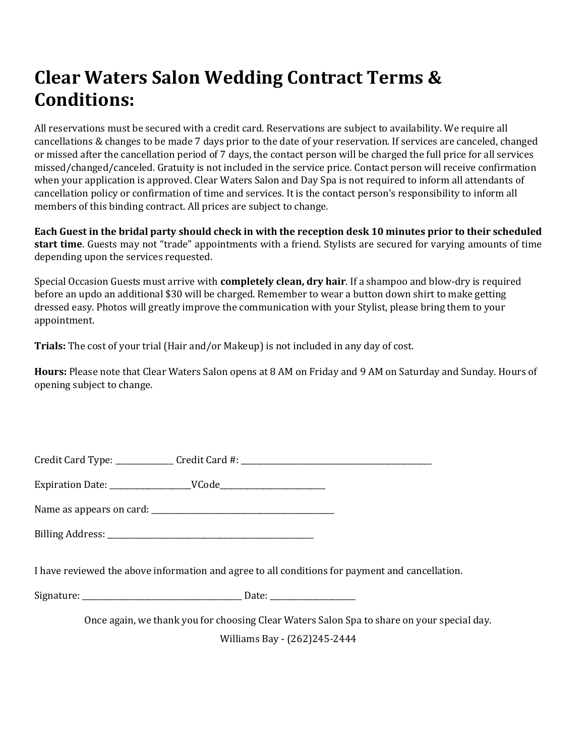# Clear Waters Salon Wedding Contract Terms & Conditions:

All reservations must be secured with a credit card. Reservations are subject to availability. We require all cancellations & changes to be made 7 days prior to the date of your reservation. If services are canceled, changed or missed after the cancellation period of 7 days, the contact person will be charged the full price for all services missed/changed/canceled. Gratuity is not included in the service price. Contact person will receive confirmation when your application is approved. Clear Waters Salon and Day Spa is not required to inform all attendants of cancellation policy or confirmation of time and services. It is the contact person's responsibility to inform all members of this binding contract. All prices are subject to change.

Each Guest in the bridal party should check in with the reception desk 10 minutes prior to their scheduled start time. Guests may not "trade" appointments with a friend. Stylists are secured for varying amounts of time depending upon the services requested.

Special Occasion Guests must arrive with **completely clean, dry hair**. If a shampoo and blow-dry is required before an updo an additional \$30 will be charged. Remember to wear a button down shirt to make getting dressed easy. Photos will greatly improve the communication with your Stylist, please bring them to your appointment.

Trials: The cost of your trial (Hair and/or Makeup) is not included in any day of cost.

Hours: Please note that Clear Waters Salon opens at 8 AM on Friday and 9 AM on Saturday and Sunday. Hours of opening subject to change.

| Credit Card Type:<br>Credit Card #: |  |  |
|-------------------------------------|--|--|
|-------------------------------------|--|--|

Expiration Date: The MCode

Name as appears on card: \_\_\_\_\_\_\_\_\_\_\_\_\_\_\_\_\_\_\_\_\_\_\_\_\_\_\_\_\_\_\_\_\_\_\_\_\_\_\_\_\_\_\_\_\_\_\_

Billing Address: \_\_\_\_\_\_\_\_\_\_\_\_\_\_\_\_\_\_\_\_\_\_\_\_\_\_\_\_\_\_\_\_\_\_\_\_\_\_\_\_\_\_\_\_\_\_\_\_\_\_\_\_\_

I have reviewed the above information and agree to all conditions for payment and cancellation.

Signature: \_\_\_\_\_\_\_\_\_\_\_\_\_\_\_\_\_\_\_\_\_\_\_\_\_\_\_\_\_\_\_\_\_\_\_\_\_\_\_\_\_ Date: \_\_\_\_\_\_\_\_\_\_\_\_\_\_\_\_\_\_\_\_\_\_

Once again, we thank you for choosing Clear Waters Salon Spa to share on your special day. Williams Bay - (262)245-2444